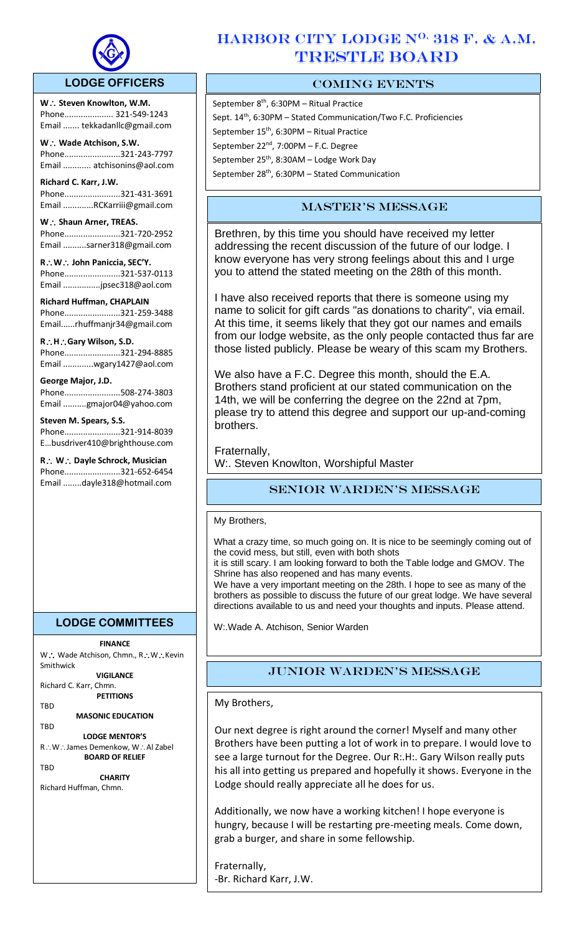

# **LODGE OFFICERS**

W.: Steven Knowlton, W.M. Phone..................... 321-549-1243 Email ....... tekkadanllc@gmail.com

l,

**W Wade Atchison, S.W.** Phone........................321-243-7797 Email ............ atchisonins@aol.com

**Richard C. Karr, J.W.**  Phone........................321-431-3691 Email .............RCKarriii@gmail.com

W.: Shaun Arner, TREAS. Phone........................321-720-2952 Email ..........sarner318@gmail.com

**RW John Paniccia, SEC'Y.** Phone........................321-537-0113 Email ................jpsec318@aol.com

**Richard Huffman, CHAPLAIN** Phone........................321-259-3488 Email......rhuffmanjr34@gmail.com

**RHGary Wilson, S.D.**  Phone........................321-294-8885 Email .............wgary1427@aol.com

# **George Major, J.D.**

Phone........................508-274-3803 Email ..........gmajor04@yahoo.com

**Steven M. Spears, S.S.** Phone........................321-914-8039 E…busdriver410@brighthouse.com

**R** ∴ **W** ∴ Dayle Schrock, Musician Phone........................321-652-6454 Email ........dayle318@hotmail.com

# **LODGE COMMITTEES**

**FINANCE** W .: Wade Atchison, Chmn., R .: W .: Kevin Smithwick

**VIGILANCE**

Richard C. Karr, Chmn. **PETITIONS**

TBD

**MASONIC EDUCATION**

TBD **LODGE MENTOR'S** R∴W∴James Demenkow, W∴Al Zabel **BOARD OF RELIEF**

**TRD** 

**CHARITY** Richard Huffman, Chmn.

# HARBOR CITY LODGE N<sup>O.</sup> 318 F. & A.M. TRESTLE BOARD

# COMING EVENTS

September 8<sup>th</sup>, 6:30PM – Ritual Practice Sept. 14<sup>th</sup>, 6:30PM - Stated Communication/Two F.C. Proficiencies September 15<sup>th</sup>, 6:30PM - Ritual Practice September 22<sup>nd</sup>, 7:00PM - F.C. Degree September 25<sup>th</sup>, 8:30AM – Lodge Work Day September  $28^{th}$ , 6:30PM – Stated Communication

# Master's Message

Brethren, by this time you should have received my letter addressing the recent discussion of the future of our lodge. I know everyone has very strong feelings about this and I urge you to attend the stated meeting on the 28th of this month.

I have also received reports that there is someone using my name to solicit for gift cards "as donations to charity", via email. At this time, it seems likely that they got our names and emails from our lodge website, as the only people contacted thus far are those listed publicly. Please be weary of this scam my Brothers.

We also have a F.C. Degree this month, should the E.A. Brothers stand proficient at our stated communication on the 14th, we will be conferring the degree on the 22nd at 7pm, please try to attend this degree and support our up-and-coming brothers.

Fraternally, W:. Steven Knowlton, Worshipful Master

# Senior Warden's message

My Brothers,

What a crazy time, so much going on. It is nice to be seemingly coming out of the covid mess, but still, even with both shots

it is still scary. I am looking forward to both the Table lodge and GMOV. The Shrine has also reopened and has many events.

We have a very important meeting on the 28th. I hope to see as many of the brothers as possible to discuss the future of our great lodge. We have several directions available to us and need your thoughts and inputs. Please attend.

W:.Wade A. Atchison, Senior Warden

# Junior Warden's Message

My Brothers,

Our next degree is right around the corner! Myself and many other Brothers have been putting a lot of work in to prepare. I would love to see a large turnout for the Degree. Our R:.H:. Gary Wilson really puts his all into getting us prepared and hopefully it shows. Everyone in the Lodge should really appreciate all he does for us.

Additionally, we now have a working kitchen! I hope everyone is hungry, because I will be restarting pre-meeting meals. Come down, grab a burger, and share in some fellowship.

Fraternally, -Br. Richard Karr, J.W.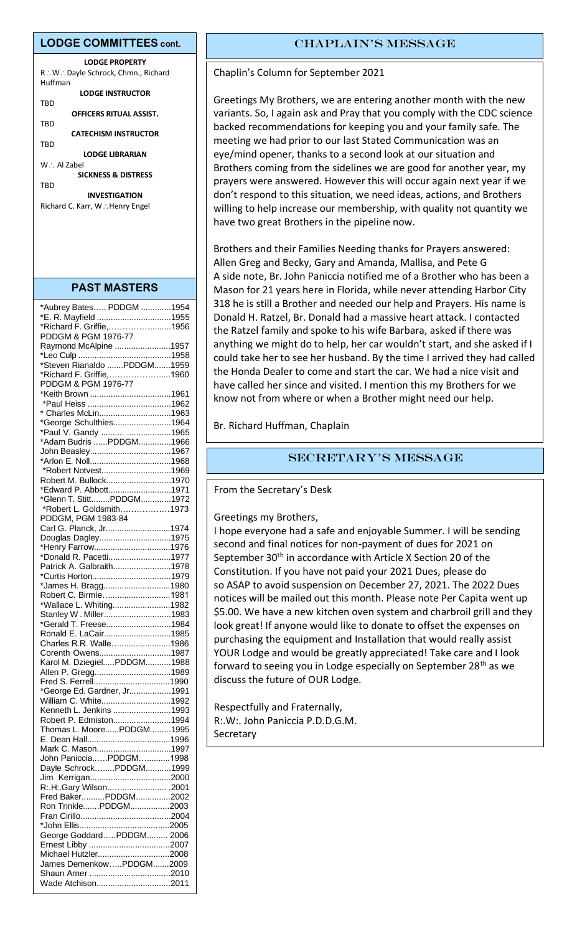#### **LODGE COMMITTEES cont.**

**LODGE PROPERTY** R∴W∴Dayle Schrock, Chmn., Richard Huffman **LODGE INSTRUCTOR** TBD **OFFICERS RITUAL ASSIST.** TBD **CATECHISM INSTRUCTOR** TBD **LODGE LIBRARIAN** W∴ Al Zabel **SICKNESS & DISTRESS TRD INVESTIGATION** Richard C. Karr, W.: Henry Engel

#### **PAST MASTERS**

| *Aubrey Bates PDDGM 1954    |  |
|-----------------------------|--|
| *E. R. Mayfield 1955        |  |
| *Richard F. Griffie,1956    |  |
| PDDGM & PGM 1976-77         |  |
|                             |  |
| Raymond McAlpine 1957       |  |
|                             |  |
| *Steven Rianaldo PDDGM1959  |  |
| *Richard F. Griffie,1960    |  |
| PDDGM & PGM 1976-77         |  |
|                             |  |
|                             |  |
| * Charles McLin1963         |  |
| *George Schulthies1964      |  |
| *Paul V. Gandy  1965        |  |
| *Adam Budris PDDGM1966      |  |
| John Beasley1967            |  |
|                             |  |
| *Robert Notvest1969         |  |
| Robert M. Bullock1970       |  |
| *Edward P. Abbott1971       |  |
| *Glenn T. StittPDDGM1972    |  |
| *Robert L. Goldsmith1973    |  |
| PDDGM, PGM 1983-84          |  |
| Carl G. Planck, Jr1974      |  |
|                             |  |
| Douglas Dagley1975          |  |
| *Henry Farrow1976           |  |
| *Donald R. Pacetti1977      |  |
| Patrick A. Galbraith1978    |  |
| *Curtis Horton1979          |  |
| *James H. Bragg1980         |  |
| Robert C. Birmie1981        |  |
| *Wallace L. Whiting1982     |  |
| Stanley W. Miller1983       |  |
| *Gerald T. Freese1984       |  |
| Ronald E. LaCair1985        |  |
| Charles R.R. Walle1986      |  |
| Corenth Owens1987           |  |
| Karol M. DziegielPDDGM1988  |  |
| Allen P. Gregg1989          |  |
|                             |  |
| *George Ed. Gardner, Jr1991 |  |
| William C. White1992        |  |
| Kenneth L. Jenkins 1993     |  |
| Robert P. Edmiston1994      |  |
| Thomas L. MoorePDDGM1995    |  |
|                             |  |
|                             |  |
| Mark C. Mason1997           |  |
| John PanicciaPDDGM1998      |  |
| Dayle SchrockPDDGM1999      |  |
|                             |  |
| R:.H:.Gary Wilson .2001     |  |
| Fred BakerPDDGM2002         |  |
| Ron TrinklePDDGM2003        |  |
|                             |  |
|                             |  |
| George GoddardPDDGM 2006    |  |
|                             |  |
| Michael Hutzler2008         |  |
| James DemenkowPDDGM2009     |  |
|                             |  |
| Wade Atchison2011           |  |
|                             |  |

# CHAPLAIN'S MESSAGE

Chaplin's Column for September 2021

Greetings My Brothers, we are entering another month with the new variants. So, I again ask and Pray that you comply with the CDC science backed recommendations for keeping you and your family safe. The meeting we had prior to our last Stated Communication was an eye/mind opener, thanks to a second look at our situation and Brothers coming from the sidelines we are good for another year, my prayers were answered. However this will occur again next year if we don't respond to this situation, we need ideas, actions, and Brothers willing to help increase our membership, with quality not quantity we have two great Brothers in the pipeline now.

Brothers and their Families Needing thanks for Prayers answered: Allen Greg and Becky, Gary and Amanda, Mallisa, and Pete G A side note, Br. John Paniccia notified me of a Brother who has been a Mason for 21 years here in Florida, while never attending Harbor City 318 he is still a Brother and needed our help and Prayers. His name is Donald H. Ratzel, Br. Donald had a massive heart attack. I contacted the Ratzel family and spoke to his wife Barbara, asked if there was anything we might do to help, her car wouldn't start, and she asked if I could take her to see her husband. By the time I arrived they had called the Honda Dealer to come and start the car. We had a nice visit and have called her since and visited. I mention this my Brothers for we know not from where or when a Brother might need our help.

Br. Richard Huffman, Chaplain

# Secretary's Message

From the Secretary's Desk

#### Greetings my Brothers,

I hope everyone had a safe and enjoyable Summer. I will be sending second and final notices for non-payment of dues for 2021 on September 30<sup>th</sup> in accordance with Article X Section 20 of the Constitution. If you have not paid your 2021 Dues, please do so ASAP to avoid suspension on December 27, 2021. The 2022 Dues notices will be mailed out this month. Please note Per Capita went up \$5.00. We have a new kitchen oven system and charbroil grill and they look great! If anyone would like to donate to offset the expenses on purchasing the equipment and Installation that would really assist YOUR Lodge and would be greatly appreciated! Take care and I look forward to seeing you in Lodge especially on September 28<sup>th</sup> as we discuss the future of OUR Lodge.

Respectfully and Fraternally, R:.W:. John Paniccia P.D.D.G.M. Secretary